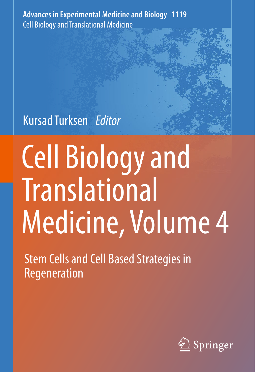**Advances in Experimental Medicine and Biology 1119** Cell Biology and Translational Medicine

## Kursad Turksen *Editor*

# Cell Biology and **Translational** Medicine, Volume 4

Stem Cells and Cell Based Strategies in Regeneration

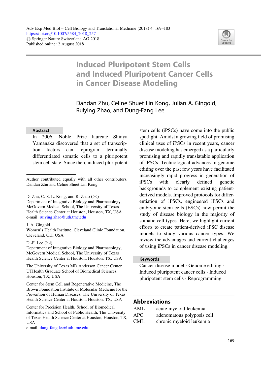

### Induced Pluripotent Stem Cells and Induced Pluripotent Cancer Cells in Cancer Disease Modeling

Dandan Zhu, Celine Shuet Lin Kong, Julian A. Gingold, Ruiying Zhao, and Dung-Fang Lee

#### Abstract

In 2006, Noble Prize laureate Shinya Yamanaka discovered that a set of transcription factors can reprogram terminally differentiated somatic cells to a pluripotent stem cell state. Since then, induced pluripotent

D. Zhu, C. S. L. Kong, and R. Zhao  $(\boxtimes)$ Department of Integrative Biology and Pharmacology, McGovern Medical School, The University of Texas Health Science Center at Houston, Houston, TX, USA e-mail: [ruiying.zhao@uth.tmc.edu](mailto:ruiying.zhao@uth.tmc.edu)

#### J. A. Gingold

Women's Health Institute, Cleveland Clinic Foundation, Cleveland, OH, USA

D.-F. Lee  $(\boxtimes)$ 

Department of Integrative Biology and Pharmacology, McGovern Medical School, The University of Texas Health Science Center at Houston, Houston, TX, USA

The University of Texas MD Anderson Cancer Center UTHealth Graduate School of Biomedical Sciences, Houston, TX, USA

Center for Stem Cell and Regenerative Medicine, The Brown Foundation Institute of Molecular Medicine for the Prevention of Human Diseases, The University of Texas Health Science Center at Houston, Houston, TX, USA

Center for Precision Health, School of Biomedical Informatics and School of Public Health, The University of Texas Health Science Center at Houston, Houston, TX, USA

e-mail: [dung-fang.lee@uth.tmc.edu](mailto:dung-fang.lee@uth.tmc.edu)

stem cells (iPSCs) have come into the public spotlight. Amidst a growing field of promising clinical uses of iPSCs in recent years, cancer disease modeling has emerged as a particularly promising and rapidly translatable application of iPSCs. Technological advances in genome editing over the past few years have facilitated increasingly rapid progress in generation of iPSCs with clearly defined genetic backgrounds to complement existing patientderived models. Improved protocols for differentiation of iPSCs, engineered iPSCs and embryonic stem cells (ESCs) now permit the study of disease biology in the majority of somatic cell types. Here, we highlight current efforts to create patient-derived iPSC disease models to study various cancer types. We review the advantages and current challenges of using iPSCs in cancer disease modeling.

#### Keywords

Cancer disease model · Genome editing · Induced pluripotent cancer cells · Induced pluripotent stem cells · Reprogramming

#### Abbreviations

| AML        | acute myeloid leukemia     |
|------------|----------------------------|
| <b>APC</b> | adenomatous polyposis cell |
| <b>CML</b> | chronic myeloid leukemia   |

Author contributed equally with all other contributors. Dandan Zhu and Celine Shuet Lin Kong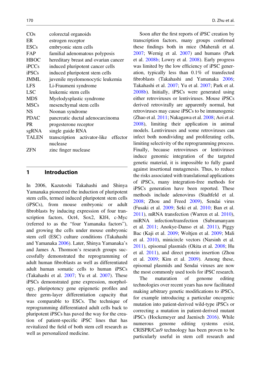| $\cos$       | colorectal organoids                  |
|--------------|---------------------------------------|
| ER           | estrogen receptor                     |
| <b>ESCs</b>  | embryonic stem cells                  |
| FAP          | familial adenomatous polyposis        |
| <b>HBOC</b>  | hereditary breast and ovarian cancer  |
| iPCCs        | induced pluripotent cancer cells      |
| iPSCs        | induced pluripotent stem cells        |
| <b>JMML</b>  | juvenile myelomonocytic leukemia      |
| LFS          | Li-Fraumeni syndrome                  |
| <b>LSC</b>   | leukemic stem cells                   |
| <b>MDS</b>   | Myelodysplastic syndrome              |
| <b>MSCs</b>  | mesenchymal stem cells                |
| <b>NS</b>    | Noonan syndrome                       |
| <b>PDAC</b>  | pancreatic ductal adenocarcinoma      |
| PR.          | progesterone receptor                 |
| sgRNA        | single guide RNA                      |
| <b>TALEN</b> | transcription activator-like effector |
|              | nuclease                              |
| ZFN          | zinc finger nuclease                  |
|              |                                       |

#### 1 Introduction

In 2006, Kazutoshi Takahashi and Shinya Yamanaka pioneered the induction of pluripotent stem cells, termed induced pluripotent stem cells (iPSCs), from mouse embryonic or adult fibroblasts by inducing expression of four transcription factors, Oct4, Sox2, Klf4, c-Myc (referred to as the "four Yamanaka factors"), and growing the cells under mouse embryonic stem cell (ESC) culture conditions (Takahashi and Yamanaka 2006). Later, Shinya Yamanaka's and James A. Thomson's research groups successfully demonstrated the reprogramming of adult human fibroblasts as well as differentiated adult human somatic cells to human iPSCs (Takahashi et al. 2007; Yu et al. 2007). These iPSCs demonstrated gene expression, morphology, pluripotency gene epigenetic profiles and three germ-layer differentiation capacity that was comparable to ESCs. The technique of reprogramming differentiated adult cells back to pluripotent iPSCs has paved the way for the creation of patient-specific iPSC lines that has revitalized the field of both stem cell research as well as personalized medicine.

Soon after the first reports of iPSC creation by transcription factors, many groups confirmed these findings both in mice (Maherali et al. 2007; Wernig et al. 2007) and humans (Park et al. 2008b; Lowry et al. 2008). Early progress was limited by the low efficiency of iPSC generation, typically less than 0.1% of transfected fibroblasts (Takahashi and Yamanaka 2006; Takahashi et al. 2007; Yu et al. 2007; Park et al. 2008b). Initially, iPSCs were generated using either retroviruses or lentiviruses. Mouse iPSCs derived retrovirally are apparently normal, but retroviruses may cause iPSCs to be immunogenic (Zhao et al. 2011; Nakagawa et al. 2008; Aoi et al. 2008), limiting their application in animal models. Lentiviruses and some retroviruses can infect both nondividing and proliferating cells, limiting selectivity of the reprogramming process. Finally, because retroviruses or lentiviruses induce genomic integration of the targeted genetic material, it is impossible to fully guard against insertional mutagenesis. Thus, to reduce the risks associated with translational applications of iPSCs, many integration-free methods for iPSCs generation have been reported. These methods include adenovirus (Stadtfeld et al. 2008; Zhou and Freed 2009), Sendai virus (Fusaki et al. 2009; Seki et al. 2010; Ban et al. 2011), mRNA transfection (Warren et al. 2010), miRNA infection/transfection (Subramanyam et al. 2011; Anokye-Danso et al. 2011), Piggy Bac (Kaji et al. 2009; Woltjen et al. 2009; Mali et al. 2010), minicircle vectors (Narsinh et al. 2011), episomal plasmids (Okita et al. 2008; Hu et al. 2011), and direct protein insertion (Zhou et al. 2009; Kim et al. 2009). Among these, episomal plasmids and Sendai viruses are now the most commonly used tools for iPSC research.

The maturation of genome editing technologies over recent years has now facilitated making arbitrary genetic modifications to iPSCs, for example introducing a particular oncogenic mutation into patient-derived wild-type iPSCs or correcting a mutation in patient-derived mutant iPSCs (Hockemeyer and Jaenisch 2016). While numerous genome editing systems exist, CRISPR/Cas9 technology has been proven to be particularly useful in stem cell research and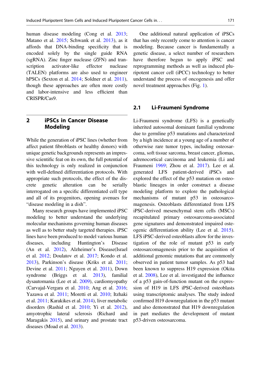human disease modeling (Cong et al. 2013; Matano et al. 2015; Schwank et al. 2013), as it affords that DNA-binding specificity that is encoded solely by the single guide RNA (sgRNA). Zinc finger nuclease (ZFN) and transcription activator-like effector nuclease (TALEN) platforms are also used to engineer hPSCs (Sexton et al. 2014; Soldner et al. 2011), though these approaches are often more costly and labor-intensive and less efficient than CRISPR/Cas9.

#### 2 iPSCs in Cancer Disease Modeling

While the generation of iPSC lines (whether from affect patient fibroblasts or healthy donors) with unique genetic backgrounds represents an impressive scientific feat on its own, the full potential of this technology is only realized in conjunction with well-defined differentiation protocols. With appropriate such protocols, the effect of the discrete genetic alteration can be serially interrogated on a specific differentiated cell type and all of its progenitors, opening avenues for "disease modeling in a dish".

Many research groups have implemented iPSC modeling to better understand the underlying molecular mechanisms governing human diseases as well as to better study targeted therapies. iPSC lines have been produced to model various human diseases, including Huntington's Disease (An et al. 2012), Alzheimer's Disease(Israel et al. 2012; Doulatov et al. 2017; Kondo et al. 2013), Parkinson's disease (Kriks et al. 2011; Devine et al. 2011; Nguyen et al. 2011), Down syndrome (Briggs et al. 2013), familial dysautomania (Lee et al. 2009), cardiomyopathy (Carvajal-Vergara et al. 2010; Ang et al. 2016; Yazawa et al. 2011; Moretti et al. 2010; Itzhaki et al. 2011; Karakikes et al. 2014), liver metabolic disorders (Rashid et al. 2010; Yi et al. 2012), amyotrophic lateral sclerosis (Richard and Maragakis 2015), and urinary and prostate tract diseases (Moad et al. 2013).

One additional natural application of iPSCs that has only recently come to attention is cancer modeling. Because cancer is fundamentally a genetic disease, a select number of researchers have therefore begun to apply iPSC and reprogramming methods as well as induced pluripotent cancer cell (iPCC) technology to better understand the process of oncogenesis and offer novel treatment approaches (Fig. 1).

#### 2.1 Li-Fraumeni Syndrome

Li-Fraumeni syndrome (LFS) is a genetically inherited autosomal dominant familial syndrome due to germline p53 mutations and characterized by a high incidence at a young age of a number of otherwise rare tumor types, including osteosarcoma, soft tissue sarcoma, breast cancer, gliomas, adrenocortical carcinoma and leukemia (Li and Fraumeni 1969; Zhou et al. 2017). Lee et al. generated LFS patient-derived iPSCs and explored the effect of the p53 mutation on osteoblastic lineages in order construct a disease modeling platform to explore the pathological mechanisms of mutant p53 in osteosarcomagenesis. Osteoblasts differentiated from LFS iPSC-derived mesenchymal stem cells (MSCs) recapitulated primary osteosarcoma-associated gene signatures and demonstrated impaired osteogenic differentiation ability (Lee et al. 2015). LFS iPSC-derived osteoblasts allow for the investigation of the role of mutant p53 in early osteosarcomagenesis prior to the acquisition of additional genomic mutations that are commonly observed in patient tumor samples. As p53 had been known to suppress H19 expression (Okita et al. 2008), Lee et al. investigated the influence of a p53 gain-of-function mutant on the expression of H19 in LFS iPSC-derived osteoblasts using transcriptomic analyses. The study indeed confirmed H19 downregulation in the p53 mutant and also demonstrated that H19 downregulation in part mediates the development of mutant p53-driven osteosarcoma.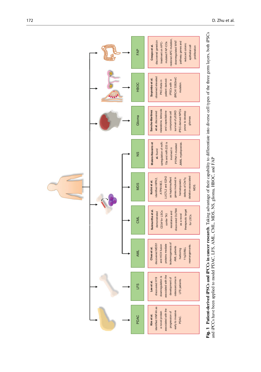

Fig. 1 Patient-derived IPSCs and IPCCs in cancer research. Taking advantage of their capability to differentiate into diverse cell types of the three germ layers, both IPSCs Fig. 1 Patient-derived iPSCs and iPCCs in cancer research. Taking advantage of their capability to differentiate into diverse cell types of the three germ layers, both iPSCs and iPCCs have been applied to model PDAC, LFS, AML, CML, MDS, NS, glioma, HBOC, and FAP and iPCCs have been applied to model PDAC, LFS, AML, CML, MDS, NS, glioma, HBOC, and FAP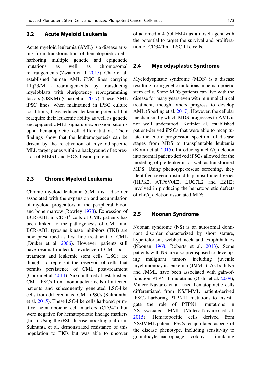#### 2.2 Acute Myeloid Leukemia

Acute myeloid leukemia (AML) is a disease arising from transformation of hematopoietic cells harboring multiple genetic and epigenetic mutations as well as chromosomal rearrangements (Zwaan et al. 2015). Chao et al. established human AML iPSC lines carrying 11q23/MLL rearrangements by transducing myeloblasts with pluripotency reprogramming factors (OSKM) (Chao et al. 2017). These AML iPSC lines, when maintained in iPSC culture conditions, have reduced leukemic potential but reacquire their leukemic ability as well as genetic and epigenetic MLL signature expression patterns upon hematopoietic cell differentiation. Their findings show that the leukemogenesis can be driven by the reactivation of myeloid-specific MLL target genes within a background of expression of MEIS1 and HOX fusion proteins.

#### 2.3 Chronic Myeloid Leukemia

Chronic myeloid leukemia (CML) is a disorder associated with the expansion and accumulation of myeloid progenitors in the peripheral blood and bone marrow (Rowley 1973). Expression of BCR-ABL in CD34<sup>+</sup> cells of CML patients has been linked to the pathogenesis of CML and BCR-ABL tyrosine kinase inhibitors (TKI) are now prescribed as first line treatment of CML (Druker et al. 2006). However, patients still have residual molecular evidence of CML posttreatment and leukemic stem cells (LSC) are thought to represent the reservoir of cells that permits persistence of CML post-treatment (Corbin et al. 2011). Suknuntha et al. established CML iPSCs from mononuclear cells of affected patients and subsequently generated LSC-like cells from differentiated CML iPSCs (Suknuntha et al. 2015). These LSC-like cells harbored primitive hematopoietic cell markers (CD34<sup>+</sup>) but were negative for hematopoietic lineage markers  $(lin^-)$ . Using the iPSC disease modeling platform, Suknunta et al. demonstrated resistance of this population to TKIs but was able to uncover olfactomedin 4 (OLFM4) as a novel agent with the potential to target the survival and proliferation of CD34<sup>+</sup>lin<sup>-</sup> LSC-like cells.

#### 2.4 Myelodysplastic Syndrome

Myelodysplastic syndrome (MDS) is a disease resulting from genetic mutations in hematopoietic stem cells. Some MDS patients can live with the disease for many years even with minimal clinical treatment, though others progress to develop AML (Sperling et al. 2017). However, the cellular mechanism by which MDS progresses to AML is not well understood. Kotiniet al. established patient-derived iPSCs that were able to recapitulate the entire progression spectrum of disease stages from MDS to transplantable leukemia (Kotini et al. 2015). Introducing a chr7q deletion into normal patient-derived iPSCs allowed for the modeling of pre-leukemia as well as transformed MDS. Using phenotype-rescue screening, they identified several distinct haploinsufficient genes (HIPK2, ATP6V0E2, LUC7L2 and EZH2) involved in producing the hematopoietic defects of chr7q deletion-associated MDS.

#### 2.5 Noonan Syndrome

Noonan syndrome (NS) is an autosomal dominant disorder characterized by short stature, hypertelorism, webbed neck and exophthalmos (Noonan 1968; Roberts et al. 2013). Some patients with NS are also predisposed to developing malignant tumors including juvenile myelomonocytic leukemia (JMML). As both NS and JMML have been associated with gain-offunction PTPN11 mutations (Oishi et al. 2009), Mulero-Navarro et al. used hematopoietic cells differentiated from NS/JMML patient-derived iPSCs harboring PTPN11 mutations to investigate the role of PTPN11 mutations in NS-associated JMML (Mulero-Navarro et al. 2015). Hematopoeitic cells derived from NS/JMML patient iPSCs recapitulated aspects of the disease phenotype, including sensitivity to granulocyte-macrophage colony stimulating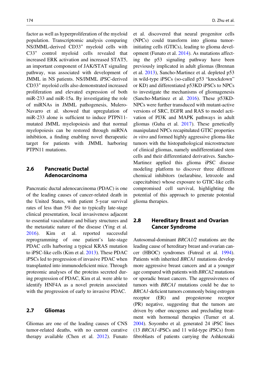factor as well as hyperproliferation of the myeloid population. Transcriptomic analysis comparing NS/JMML-derived CD33<sup>+</sup> myeloid cells with C33<sup>+</sup> control myeloid cells revealed that increased ERK activation and increased STAT5, an important component of JAK/STAT signaling pathway, was associated with development of JMML in NS patients. NS/JMML iPSC-derived CD33<sup>+</sup> myeloid cells also demonstrated increased proliferation and elevated expression of both miR-233 and miR-15a. By investigating the role of miRNAs in JMML pathogenesis, Mulero-Navarro et al. showed that upregulation of miR-233 alone is sufficient to induce PTPN11 mutated JMML myelopoiesis and that normal myelopoiesis can be restored through miRNA inhibition, a finding enabling novel therapeutic target for patients with JMML harboring PTPN11 mutations.

#### 2.6 Pancreatic Ductal Adenocarcinoma

Pancreatic ductal adenocarcinoma (PDAC) is one of the leading causes of cancer-related death in the United States, with patient 5-year survival rates of less than 5% due to typically late-stage clinical presentation, local invasiveness adjacent to essential vasculature and biliary structures and the metastatic nature of the disease (Ying et al. 2016). Kim et al. reported successful reprogramming of one patient's late-stage PDAC cells harboring a typical KRAS mutation to iPSC-like cells (Kim et al. 2013). These PDAC iPSCs led to progression of invasive PDAC when transplanted into immunodeficient mice. Through proteomic analyses of the proteins secreted during progression of PDAC, Kim et al. were able to identify HNF4A as a novel protein associated with the progression of early to invasive PDAC.

#### 2.7 Gliomas

Gliomas are one of the leading causes of CNS tumor-related deaths, with no current curative therapy available (Chen et al. 2012). Funato et al. discovered that neural progenitor cells (NPCs) could transform into glioma tumorinitiating cells (GTICs), leading to glioma development (Funato et al. 2014). As mutations affecting the p53 signaling pathway have been previously implicated in adult gliomas (Brennan et al. 2013), Sancho-Martinez et al. depleted p53 in wild-type iPSCs (so-called p53 "knockdown" or KD) and differentiated p53KD iPSCs to NPCs to investigate the mechanisms of gliomagenesis (Sancho-Martinez et al. 2016). These p53KD-NPCs were further transduced with mutant-active versions of SRC, EGFR and RAS to model activation of PI3K and MAPK pathways in adult gliomas (Guha et al. 2017). These genetically manipulated NPCs recapitulated GTIC properties in vitro and formed highly aggressive glioma-like tumors with the histopathological microstructure of clinical gliomas, namely undifferentiated stem cells and their differentiated derivatives. Sancho-Martinez applied this glioma iPSC disease modeling platform to discover three different chemical inhibitors (nelarabine, letrozole and capecitabine) whose exposure to GTIC-like cells compromised cell survival, highlighting the potential of this approach to generate potential glioma therapies.

#### 2.8 Hereditary Breast and Ovarian Cancer Syndrome

Autosomal-dominant BRCA1/2 mutations are the leading cause of hereditary breast and ovarian cancer (HBOC) syndromes (Futreal et al. 1994). Patients with inherited **BRCA1** mutations develop more aggressive breast cancers and at a younger age compared with patients with BRCA2 mutations or sporadic breast cancers. The aggressiveness of tumors with BRCA1 mutations could be due to BRCA1-deficient tumors commonly being estrogen receptor (ER) and progesterone receptor (PR) negative, suggesting that the tumors are driven by other oncogenes and precluding treatment with hormonal therapies (Turner et al. 2004). Soyombo et al. generated 24 iPSC lines (13 BRCA1-iPSCs and 11 wild-type iPSCs) from fibroblasts of patients carrying the Ashkenzaki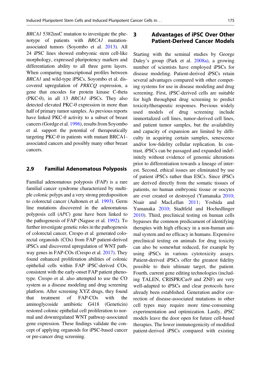BRCA1 5382insC mutation to investigate the phenotype of patients with *BRCA1* mutationassociated tumors (Soyombo et al. 2013). All 24 iPSC lines showed embryonic stem cell-like morphology, expressed pluripotency markers and differentiation ability to all three germ layers. When comparing transcriptional profiles between BRCA1 and wild-type iPSCs, Soyombo et al. discovered upregulation of PRKCQ expression, a gene that encodes for protein kinase C-theta (PKC- $\theta$ ), in all 13 BRCA1 iPSCs. They also detected elevated PKC-θ expression in more than half of primary tumor samples. As previous reports have linked PKC-θ activity to a subset of breast cancers (Gordge et al. 1996), results from Soyombo et al. support the potential of therapeutically targeting PKC-θ in patients with mutant BRCA1 associated cancers and possibly many other breast cancers.

#### 2.9 Familial Adenomatous Polyposis

Familial adenomatous polyposis (FAP) is a rare familial cancer syndrome characterized by multiple colonic polyps and a very strong predisposition to colorectal cancer (Aaltonen et al. 1993). Germ line mutations discovered in the adenomatous polyposis cell (APC) gene have been linked to the pathogenesis of FAP (Nagase et al. 1992). To further investigate genetic roles in the pathogenesis of colorectal cancer, Crespo et al. generated colorectal organoids (COs) from FAP patient-derived iPSCs and discovered upregulation of WNT pathway genes in FAP-COs (Crespo et al. 2017). They found enhanced proliferation abilities of colonic epithelial cells within FAP iPSC-derived COs, consistent with the early-onset FAP patient phenotype. Crespo et al. also attempted to use the CO system as a disease modeling and drug screening platform. After screening XYZ drugs, they found that treatment of FAP-COs with the aminoglycoside antibiotic G418 (Geneticin) restored colonic epithelial cell proliferation to normal and downregulated WNT pathway-associated gene expression. These findings validate the concept of applying organoids for iPSC-based cancer or pre-cancer drug screening.

#### 3 Advantages of iPSC Over Other Patient-Derived Cancer Models

Starting with the seminal studies by George Daley's group (Park et al. 2008a), a growing number of scientists have employed iPSCs for disease modeling. Patient-derived iPSCs retain several advantages compared with other competing systems for use in disease modeling and drug screening. First, iPSC-derived cells are suitable for high throughput drug screening to predict toxicity/therapeutic responses. Previous widely used models of drug screening include immortalized cell lines, tumor-derived cell lines, and patient tumor samples, but the availability and capacity of expansion are limited by difficulty in acquiring certain samples, senescence and/or low-fidelity cellular replication. In contrast, iPSCs can be passaged and expanded indefinitely without evidence of genomic alterations prior to differentiation towards a lineage of interest. Second, ethical issues are eliminated by use of patient iPSCs rather than ESCs. Since iPSCs are derived directly from the somatic tissues of patients, no human embryonic tissue or oocytes are ever created or destroyed (Yamanaka 2010; Nsair and MacLellan 2011; Yoshida and Yamanaka 2010; Stadtfeld and Hochedlinger 2010). Third, preclinical testing on human cells bypasses the common predicament of identifying therapies with high efficacy in a non-human animal system and no efficacy in humans. Expensive preclinical testing on animals for drug toxicity can also be somewhat reduced, for example by using iPSCs in various cytotoxicity assays. Patient-derived iPSCs offer the greatest fidelity possible to their ultimate target, the patient. Fourth, current gene editing technologies (including TALEN, CRISPR/Cas9 and ZNF) are very well-adapted to iPSCs and clear protocols have already been established. Generation and/or correction of disease-associated mutations in other cell types may require more time-consuming experimentation and optimization. Lastly, iPSC models leave the door open for future cell-based therapies. The lower immunogenicity of modified patient-derived iPSCs compared with existing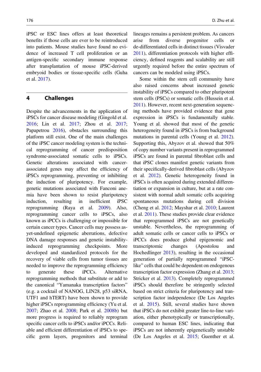iPSC or ESC lines offers at least theoretical benefits if those cells are ever to be reintroduced into patients. Mouse studies have found no evidence of increased T cell proliferation or an antigen-specific secondary immune response after transplantation of mouse iPSC-derived embryoid bodies or tissue-specific cells (Guha et al. 2017).

#### 4 Challenges

Despite the advancements in the application of iPSCs for cancer disease modeling (Gingold et al. 2016; Lin et al. 2017; Zhou et al. 2017; Papapetrou 2016), obstacles surrounding this platform still exist. One of the main challenges of the iPSC cancer modeling system is the technical reprogramming of cancer predisposition syndrome-associated somatic cells to iPSCs. Genetic alterations associated with cancerassociated genes may affect the efficiency of iPSCs reprogramming, preventing or inhibiting the induction of pluripotency. For example, genetic mutations associated with Fanconi anemia have been shown to resist pluripotency induction, resulting in inefficient iPSC reprogramming (Raya et al. 2009). Also, reprogramming cancer cells to iPSCs, also known as iPCCs is challenging or impossible for certain cancer types. Cancer cells may possess asyet-undefined epigenetic aberrations, defective DNA damage responses and genetic instabilityinduced reprogramming checkpoints. More developed and standardized protocols for the recovery of viable cells from tumor tissues are needed to improve the reprogramming efficiency to generate these iPCCs. Alternative reprogramming methods that substitute or add to the canonical "Yamanaka transcription factors" (e.g. a cocktail of NANOG, LIN28, p53 siRNA, UTF1 and hTERT) have been shown to provide higher iPSCs reprogramming efficiency (Yu et al. 2007; Zhao et al. 2008; Park et al. 2008b) but more progress is required to reliably reprogram specific cancer cells to iPSCs and/or iPCCs. Reliable and efficient differentiation of iPSCs to specific germ layers, progenitors and terminal lineages remains a persistent problem. As cancers arise from diverse progenitor cells de-differentiated cells in distinct tissues (Visvader 2011), differentiation protocols with higher efficiency, defined reagents and scalability are still urgently required before the entire spectrum of cancers can be modeled using iPSCs.

Some within the stem cell community have also raised concerns about increased genetic instability of iPSCs compared to other pluripotent stem cells (PSCs) or somatic cells (Hussein et al. 2011). However, recent next-generation sequencing methods have provided evidence that gene expression in iPSCs is fundamentally stable. Young et al. showed that most of the genetic heterogeneity found in iPSCs is from background mutations in parental cells (Young et al. 2012). Supporting this, Abyzov et al. showed that 50% of copy number variants present in reprogrammed iPSCs are found in parental fibroblast cells and that iPSC clones manifest genetic variants from their specifically-derived fibroblast cells (Abyzov et al. 2012). Genetic heterogeneity found in iPSCs is often acquired during extended differentiation or expansion in culture, but at a rate consistent with normal adult somatic cells acquiring spontaneous mutations during cell division (Cheng et al. 2012; Mayshar et al. 2010; Laurent et al. 2011). These studies provide clear evidence that reprogrammed iPSCs are not genetically unstable. Nevertheless, the reprogramming of adult somatic cells or cancer cells to iPSCs or iPCCs does produce global epigenomic and transcriptomic changes (Apostolou and Hochedlinger 2013), resulting in the occasional generation of partially reprogrammed "iPSClike" cells that could be dependent on endogenous transcription factor expression (Zhang et al. 2013; Stricker et al. 2013). Completely reprogrammed iPSCs should therefore be stringently selected based on strict criteria for pluripotency and transcription factor independence (De Los Angeles et al. 2015). Still, several studies have shown that iPSCs do not exhibit greater line-to-line variation, either phenotypically or transcriptionally, compared to human ESC lines, indicating that iPSCs are not inherently epigenetically unstable (De Los Angeles et al. 2015; Guenther et al.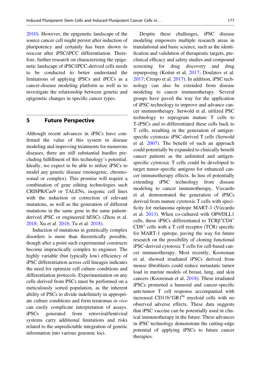2010). However, the epigenetic landscape of the source cancer cell might persist after induction of pluripotency and certainly has been shown to reoccur after iPSC/iPCC differentiation. Therefore, further research on characterizing the epigenetic landscape of iPSC/iPCC-derived cells needs to be conducted to better understand the limitations of applying iPSCs and iPCCs as a cancer-disease modeling platform as well as to investigate the relationship between genetic and epigenetic changes in specific cancer types.

#### 5 Future Perspective

Although recent advances in iPSCs have confirmed the value of this system in disease modeling and improving treatments for numerous diseases, there are still substantial hurdles precluding fulfillment of this technology's potential. Ideally, we expect to be able to utilize iPSCs to model any genetic disease (monogenic, chromosomal or complex). This promise will require a combination of gene editing technologies such CRISPR/Cas9 or TALENs, isogenic cell lines with the induction or correction of relevant mutations, as well as the generation of different mutations in the same gene in the same patientderived iPSC or engineered hESCs (Zhou et al. 2018; Xu et al. 2018; Tu et al. 2018).

Induction of mutations in genetically complex disorders is more than theoretically possible, though after a point such experimental constructs become impractically complex to engineer. The highly variable (but typically low) efficiency of iPSC differentiation across cell lineages indicates the need for optimize cell culture conditions and differentiation protocols. Experimentation on any cells derived from PSCs must be performed on a meticulously sorted population, as the inherent ability of PSCs to divide indefinitely in appropriate culture conditions and form teratomas in vivo can easily complicate interpretation of assays. iPSCs generated from retroviral/lentiviral systems carry additional limitations and risks related to the unpredictable integration of genetic information into various genomic loci.

Despite these challenges, iPSC disease modeling empowers multiple research areas in translational and basic science, such as the identification and validation of therapeutic targets, preclinical efficacy and safety studies and compound screening for drug discovery and drug repurposing (Kotini et al. 2017; Doulatov et al. 2017; Crespo et al. 2017). In addition, iPSC technology can also be extended from disease modeling to cancer immunotherapy. Several groups have paved the way for the application of iPSC-technology to improve and advance cancer immunotherapy. Serwold et al. utilized PSC technology to reprogram mature T cells to T-iPSCs and re-differentiated these cells back to T cells, resulting in the generation of antigenspecific cytotoxic iPSC-derived T cells (Serwold et al. 2007). The benefit of such an approach could potentially be expanded to clinically benefit cancer patients as the unlimited and antigenspecific cytotoxic T cells could be developed to target tumor-specific antigens for enhanced cancer immunotherapy effects. In lieu of potentially extending iPSC technology from disease modeling to cancer immunotherapy, Vizcardo et al. demonstrated the generation of iPSCs derived from mature cytotoxic T cells with specificity for melanoma epitope MART-1 (Vizcardo et al. 2013). When co-cultured with OP9/DLL1 cells, these iPSCs differentiated to  $TCR\beta^+CD4^+$  $CD8<sup>+</sup>$  cells with a T cell receptor (TCR) specific for MART-1 epitope, paving the way for future research on the possibility of cloning functional iPSC-derived cytotoxic T cells for cell-based cancer immunotherapy. Most recently, Kooreman et al. showed irradiated iPSCs derived from mouse fibroblasts could reduce metastatic tumor load in murine models of breast, lung, and skin cancers (Kooreman et al. 2018). These irradiated iPSCs promoted a humoral and cancer-specific anti-tumor T cell response accompanied with increased CD11b<sup>+</sup>GR1<sup>hi</sup> myeloid cells with no observed adverse effects. These data suggests that iPSC vaccine can be potentially used in clinical immunotherapy in the future. These advances in iPSC technology demonstrate the cutting-edge potential of applying iPSCs to future cancer therapies.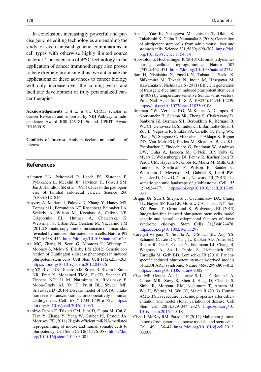In conclusion, increasingly powerful and precise genome editing technologies are enabling the study of even unusual genetic combinations in cell types with otherwise highly limited source material. The extension of iPSC technology in the application of cancer immunotherapy also proves to be extremely promising thus, we anticipate the applications of these advances to cancer biology will only increase over the coming years and facilitate development of truly personalized cancer therapies.

Acknowledgements D.-F.L. is the CPRIT scholar in Cancer Research and supported by NIH Pathway to Independence Award R00 CA181496 and CPRIT Award RR160019.

Conflicts of Interest Authors declare no conflicts of interest.

#### References

- Aaltonen LA, Peltomaki P, Leach FS, Sistonen P, Pylkkanen L, Mecklin JP, Jarvinen H, Powell SM, Jen J, Hamilton SR et al (1993) Clues to the pathogenesis of familial colorectal cancer. Science 260 (5109):812–816
- Abyzov A, Mariani J, Palejev D, Zhang Y, Haney MS, Tomasini L, Ferrandino AF, Rosenberg Belmaker LA, Szekely A, Wilson M, Kocabas A, Calixto NE, Grigorenko EL, Huttner A, Chawarska K, Weissman S, Urban AE, Gerstein M, Vaccarino FM (2012) Somatic copy number mosaicism in human skin revealed by induced pluripotent stem cells. Nature 492 (7429):438–442. <https://doi.org/10.1038/nature11629>
- An MC, Zhang N, Scott G, Montoro D, Wittkop T, Mooney S, Melov S, Ellerby LM (2012) Genetic correction of Huntington's disease phenotypes in induced pluripotent stem cells. Cell Stem Cell 11(2):253–263. <https://doi.org/10.1016/j.stem.2012.04.026>
- Ang YS, Rivas RN, Ribeiro AJS, Srivas R, Rivera J, Stone NR, Pratt K, Mohamed TMA, Fu JD, Spencer CI, Tippens ND, Li M, Narasimha A, Radzinsky E, Moon-Grady AJ, Yu H, Pruitt BL, Snyder MP, Srivastava D (2016) Disease model of GATA4 mutation reveals transcription factor cooperativity in human cardiogenesis. Cell 167(7):1734–1749 e1722. [https://](https://doi.org/10.1016/j.cell.2016.11.033) [doi.org/10.1016/j.cell.2016.11.033](https://doi.org/10.1016/j.cell.2016.11.033)
- Anokye-Danso F, Trivedi CM, Juhr D, Gupta M, Cui Z, Tian Y, Zhang Y, Yang W, Gruber PJ, Epstein JA, Morrisey EE (2011) Highly efficient miRNA-mediated reprogramming of mouse and human somatic cells to pluripotency. Cell Stem Cell 8(4):376–388. [https://doi.](https://doi.org/10.1016/j.stem.2011.03.001) [org/10.1016/j.stem.2011.03.001](https://doi.org/10.1016/j.stem.2011.03.001)
- Aoi T, Yae K, Nakagawa M, Ichisaka T, Okita K, Takahashi K, Chiba T, Yamanaka S (2008) Generation of pluripotent stem cells from adult mouse liver and stomach cells. Science 321(5889):699–702. [https://doi.](https://doi.org/10.1126/science.1154884) [org/10.1126/science.1154884](https://doi.org/10.1126/science.1154884)
- Apostolou E, Hochedlinger K (2013) Chromatin dynamics during cellular reprogramming. Nature 502 (7472):462–471. <https://doi.org/10.1038/nature12749>
- Ban H, Nishishita N, Fusaki N, Tabata T, Saeki K, Shikamura M, Takada N, Inoue M, Hasegawa M, Kawamata S, Nishikawa S (2011) Efficient generation of transgene-free human induced pluripotent stem cells (iPSCs) by temperature-sensitive Sendai virus vectors. Proc Natl Acad Sci U S A 108(34):14234–14239. <https://doi.org/10.1073/pnas.1103509108>
- Brennan CW, Verhaak RG, McKenna A, Campos B, Noushmehr H, Salama SR, Zheng S, Chakravarty D, Sanborn JZ, Berman SH, Beroukhim R, Bernard B, Wu CJ, Genovese G, Shmulevich I, Barnholtz-Sloan J, Zou L, Vegesna R, Shukla SA, Ciriello G, Yung WK, Zhang W, Sougnez C, Mikkelsen T, Aldape K, Bigner DD, Van Meir EG, Prados M, Sloan A, Black KL, Eschbacher J, Finocchiaro G, Friedman W, Andrews DW, Guha A, Iacocca M, O'Neill BP, Foltz G, Myers J, Weisenberger DJ, Penny R, Kucherlapati R, Perou CM, Hayes DN, Gibbs R, Marra M, Mills GB, Lander E, Spellman P, Wilson R, Sander C, Weinstein J, Meyerson M, Gabriel S, Laird PW, Haussler D, Getz G, Chin L, Network TR (2013) The somatic genomic landscape of glioblastoma. Cell 155 (2):462–477. [https://doi.org/10.1016/j.cell.2013.09.](https://doi.org/10.1016/j.cell.2013.09.034) [034](https://doi.org/10.1016/j.cell.2013.09.034)
- Briggs JA, Sun J, Shepherd J, Ovchinnikov DA, Chung TL, Nayler SP, Kao LP, Morrow CA, Thakar NY, Soo SY, Peura T, Grimmond S, Wolvetang EJ (2013) Integration-free induced pluripotent stem cells model genetic and neural developmental features of down syndrome etiology. Stem Cells 31(3):467–478. <https://doi.org/10.1002/stem.1297>
- Carvajal-Vergara X, Sevilla A, D'Souza SL, Ang YS, Schaniel C, Lee DF, Yang L, Kaplan AD, Adler ED, Rozov R, Ge Y, Cohen N, Edelmann LJ, Chang B, Waghray A, Su J, Pardo S, Lichtenbelt KD, Tartaglia M, Gelb BD, Lemischka IR (2010) Patientspecific induced pluripotent stem-cell-derived models of LEOPARD syndrome. Nature 465(7299):808–812. <https://doi.org/10.1038/nature09005>
- Chao MP, Gentles AJ, Chatterjee S, Lan F, Reinisch A, Corces MR, Xavy S, Shen J, Haag D, Chanda S, Sinha R, Morganti RM, Nishimura T, Ameen M, Wu H, Wernig M, Wu JC, Majeti R (2017) Human AML-iPSCs reacquire leukemic properties after differentiation and model clonal variation of disease. Cell Stem Cell 20(3):329–344 e327. [https://doi.org/10.](https://doi.org/10.1016/j.stem.2016.11.018) [1016/j.stem.2016.11.018](https://doi.org/10.1016/j.stem.2016.11.018)
- Chen J, McKay RM, Parada LF (2012) Malignant glioma: lessons from genomics, mouse models, and stem cells. Cell 149(1):36–47. [https://doi.org/10.1016/j.cell.2012.](https://doi.org/10.1016/j.cell.2012.03.009) [03.009](https://doi.org/10.1016/j.cell.2012.03.009)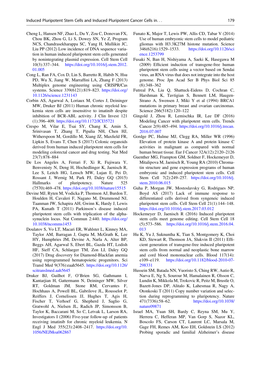- Cheng L, Hansen NF, Zhao L, Du Y, Zou C, Donovan FX, Chou BK, Zhou G, Li S, Dowey SN, Ye Z, Program NCS, Chandrasekharappa SC, Yang H, Mullikin JC, Liu PP (2012) Low incidence of DNA sequence variation in human induced pluripotent stem cells generated by nonintegrating plasmid expression. Cell Stem Cell 10(3):337–344. [https://doi.org/10.1016/j.stem.2012.](https://doi.org/10.1016/j.stem.2012.01.005) [01.005](https://doi.org/10.1016/j.stem.2012.01.005)
- Cong L, Ran FA, Cox D, Lin S, Barretto R, Habib N, Hsu PD, Wu X, Jiang W, Marraffini LA, Zhang F (2013) Multiplex genome engineering using CRISPR/Cas systems. Science 339(6121):819–823. [https://doi.org/](https://doi.org/10.1126/science.1231143) [10.1126/science.1231143](https://doi.org/10.1126/science.1231143)
- Corbin AS, Agarwal A, Loriaux M, Cortes J, Deininger MW, Druker BJ (2011) Human chronic myeloid leukemia stem cells are insensitive to imatinib despite inhibition of BCR-ABL activity. J Clin Invest 121 (1):396–409. <https://doi.org/10.1172/JCI35721>
- Crespo M, Vilar E, Tsai SY, Chang K, Amin S, Srinivasan T, Zhang T, Pipalia NH, Chen HJ, Witherspoon M, Gordillo M, Xiang JZ, Maxfield FR, Lipkin S, Evans T, Chen S (2017) Colonic organoids derived from human induced pluripotent stem cells for modeling colorectal cancer and drug testing. Nat Med 23(7):878–884
- De Los Angeles A, Ferrari F, Xi R, Fujiwara Y, Benvenisty N, Deng H, Hochedlinger K, Jaenisch R, Lee S, Leitch HG, Lensch MW, Lujan E, Pei D, Rossant J, Wernig M, Park PJ, Daley GQ (2015) Hallmarks of pluripotency. Nature 525 (7570):469–478. <https://doi.org/10.1038/nature15515>
- Devine MJ, Ryten M, Vodicka P, Thomson AJ, Burdon T, Houlden H, Cavaleri F, Nagano M, Drummond NJ, Taanman JW, Schapira AH, Gwinn K, Hardy J, Lewis PA, Kunath T (2011) Parkinson's disease induced pluripotent stem cells with triplication of the alphasynuclein locus. Nat Commun 2:440. [https://doi.org/](https://doi.org/10.1038/ncomms1453) [10.1038/ncomms1453](https://doi.org/10.1038/ncomms1453)
- Doulatov S, Vo LT, Macari ER, Wahlster L, Kinney MA, Taylor AM, Barragan J, Gupta M, McGrath K, Lee HY, Humphries JM, Devine A, Narla A, Alter BP, Beggs AH, Agarwal S, Ebert BL, Gazda HT, Lodish HF, Sieff CA, Schlaeger TM, Zon LI, Daley GQ (2017) Drug discovery for Diamond-Blackfan anemia using reprogrammed hematopoietic progenitors. Sci Transl Med 9(376):eaah5645. [https://doi.org/10.1126/](https://doi.org/10.1126/scitranslmed.aah5645) [scitranslmed.aah5645](https://doi.org/10.1126/scitranslmed.aah5645)
- Druker BJ, Guilhot F, O'Brien SG, Gathmann I, Kantarjian H, Gattermann N, Deininger MW, Silver RT, Goldman JM, Stone RM, Cervantes F, Hochhaus A, Powell BL, Gabrilove JL, Rousselot P, Reiffers J, Cornelissen JJ, Hughes T, Agis H, Fischer T, Verhoef G, Shepherd J, Saglio G, Gratwohl A, Nielsen JL, Radich JP, Simonsson B, Taylor K, Baccarani M, So C, Letvak L, Larson RA, Investigators I (2006) Five-year follow-up of patients receiving imatinib for chronic myeloid leukemia. N Engl J Med 355(23):2408–2417. [https://doi.org/10.](https://doi.org/10.1056/NEJMoa062867) [1056/NEJMoa062867](https://doi.org/10.1056/NEJMoa062867)
- Funato K, Major T, Lewis PW, Allis CD, Tabar V (2014) Use of human embryonic stem cells to model pediatric gliomas with H3.3K27M histone mutation. Science 346(6216):1529–1533. [https://doi.org/10.1126/sci](https://doi.org/10.1126/science.1253799) [ence.1253799](https://doi.org/10.1126/science.1253799)
- Fusaki N, Ban H, Nishiyama A, Saeki K, Hasegawa M (2009) Efficient induction of transgene-free human pluripotent stem cells using a vector based on Sendai virus, an RNA virus that does not integrate into the host genome. Proc Jpn Acad Ser B Phys Biol Sci 85 (8):348–362
- Futreal PA, Liu Q, Shattuck-Eidens D, Cochran C, Harshman K, Tavtigian S, Bennett LM, Haugen-Strano A, Swensen J, Miki Y et al (1994) BRCA1 mutations in primary breast and ovarian carcinomas. Science 266(5182):120–122
- Gingold J, Zhou R, Lemischka IR, Lee DF (2016) Modeling Cancer with pluripotent stem cells. Trends Cancer 2(9):485–494. [https://doi.org/10.1016/j.trecan.](https://doi.org/10.1016/j.trecan.2016.07.007) [2016.07.007](https://doi.org/10.1016/j.trecan.2016.07.007)
- Gordge PC, Hulme MJ, Clegg RA, Miller WR (1996) Elevation of protein kinase A and protein kinase C activities in malignant as compared with normal human breast tissue. Eur J Cancer 32A(12):2120–2126
- Guenther MG, Frampton GM, Soldner F, Hockemeyer D, Mitalipova M, Jaenisch R, Young RA (2010) Chromatin structure and gene expression programs of human embryonic and induced pluripotent stem cells. Cell Stem Cell 7(2):249–257. [https://doi.org/10.1016/j.](https://doi.org/10.1016/j.stem.2010.06.015) [stem.2010.06.015](https://doi.org/10.1016/j.stem.2010.06.015)
- Guha P, Morgan JW, Mostoslavsky G, Rodrigues NP, Boyd AS (2017) Lack of immune response to differentiated cells derived from syngeneic induced pluripotent stem cells. Cell Stem Cell 21(1):144–148. <https://doi.org/10.1016/j.stem.2017.03.012>
- Hockemeyer D, Jaenisch R (2016) Induced pluripotent stem cells meet genome editing. Cell Stem Cell 18 (5):573–586. [https://doi.org/10.1016/j.stem.2016.04.](https://doi.org/10.1016/j.stem.2016.04.013) [013](https://doi.org/10.1016/j.stem.2016.04.013)
- Hu K, Yu J, Suknuntha K, Tian S, Montgomery K, Choi KD, Stewart R, Thomson JA, Slukvin II (2011) Efficient generation of transgene-free induced pluripotent stem cells from normal and neoplastic bone marrow and cord blood mononuclear cells. Blood 117(14): e109–e119. [https://doi.org/10.1182/blood-2010-07-](https://doi.org/10.1182/blood-2010-07-298331) [298331](https://doi.org/10.1182/blood-2010-07-298331)
- Hussein SM, Batada NN, Vuoristo S, Ching RW, Autio R, Narva E, Ng S, Sourour M, Hamalainen R, Olsson C, Lundin K, Mikkola M, Trokovic R, Peitz M, Brustle O, Bazett-Jones DP, Alitalo K, Lahesmaa R, Nagy A, Otonkoski T (2011) Copy number variation and selection during reprogramming to pluripotency. Nature 471(7336):58–62. [https://doi.org/10.1038/](https://doi.org/10.1038/nature09871) [nature09871](https://doi.org/10.1038/nature09871)
- Israel MA, Yuan SH, Bardy C, Reyna SM, Mu Y, Herrera C, Hefferan MP, Van Gorp S, Nazor KL, Boscolo FS, Carson CT, Laurent LC, Marsala M, Gage FH, Remes AM, Koo EH, Goldstein LS (2012) Probing sporadic and familial Alzheimer's disease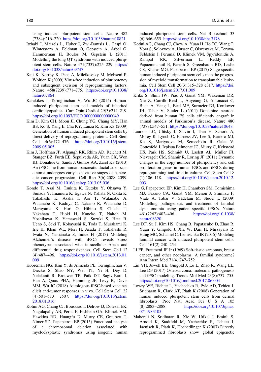using induced pluripotent stem cells. Nature 482 (7384):216–220. <https://doi.org/10.1038/nature10821>

- Itzhaki I, Maizels L, Huber I, Zwi-Dantsis L, Caspi O, Winterstern A, Feldman O, Gepstein A, Arbel G, Hammerman H, Boulos M, Gepstein L (2011) Modelling the long QT syndrome with induced pluripotent stem cells. Nature 471(7337):225–229. [https://](https://doi.org/10.1038/nature09747) [doi.org/10.1038/nature09747](https://doi.org/10.1038/nature09747)
- Kaji K, Norrby K, Paca A, Mileikovsky M, Mohseni P, Woltjen K (2009) Virus-free induction of pluripotency and subsequent excision of reprogramming factors. Nature 458(7239):771–775. [https://doi.org/10.1038/](https://doi.org/10.1038/nature07864) [nature07864](https://doi.org/10.1038/nature07864)
- Karakikes I, Termglinchan V, Wu JC (2014) Humaninduced pluripotent stem cell models of inherited cardiomyopathies. Curr Opin Cardiol 29(3):214–219. <https://doi.org/10.1097/HCO.0000000000000049>
- Kim D, Kim CH, Moon JI, Chung YG, Chang MY, Han BS, Ko S, Yang E, Cha KY, Lanza R, Kim KS (2009) Generation of human induced pluripotent stem cells by direct delivery of reprogramming proteins. Cell Stem Cell 4(6):472–476. [https://doi.org/10.1016/j.stem.](https://doi.org/10.1016/j.stem.2009.05.005) [2009.05.005](https://doi.org/10.1016/j.stem.2009.05.005)
- Kim J, Hoffman JP, Alpaugh RK, Rhim AD, Reichert M, Stanger BZ, Furth EE, Sepulveda AR, Yuan CX, Won KJ, Donahue G, Sands J, Gumbs AA, Zaret KS (2013) An iPSC line from human pancreatic ductal adenocarcinoma undergoes early to invasive stages of pancreatic cancer progression. Cell Rep 3(6):2088–2099. <https://doi.org/10.1016/j.celrep.2013.05.036>
- Kondo T, Asai M, Tsukita K, Kutoku Y, Ohsawa Y, Sunada Y, Imamura K, Egawa N, Yahata N, Okita K, Takahashi K, Asaka I, Aoi T, Watanabe A, Watanabe K, Kadoya C, Nakano R, Watanabe D, Maruyama K, Hori O, Hibino S, Choshi T, Nakahata T, Hioki H, Kaneko T, Naitoh M, Yoshikawa K, Yamawaki S, Suzuki S, Hata R, Ueno S, Seki T, Kobayashi K, Toda T, Murakami K, Irie K, Klein WL, Mori H, Asada T, Takahashi R, Iwata N, Yamanaka S, Inoue H (2013) Modeling Alzheimer's disease with iPSCs reveals stress phenotypes associated with intracellular Abeta and differential drug responsiveness. Cell Stem Cell 12 (4):487–496. [https://doi.org/10.1016/j.stem.2013.01.](https://doi.org/10.1016/j.stem.2013.01.009) [009](https://doi.org/10.1016/j.stem.2013.01.009)
- Kooreman NG, Kim Y, de Almeida PE, Termglinchan V, Diecke S, Shao NY, Wei TT, Yi H, Dey D, Nelakanti R, Brouwer TP, Paik DT, Sagiv-Barfi I, Han A, Quax PHA, Hamming JF, Levy R, Davis MM, Wu JC (2018) Autologous iPSC-based vaccines elicit anti-tumor responses in vivo. Cell Stem Cell 22 (4):501–513 e507. [https://doi.org/10.1016/j.stem.](https://doi.org/10.1016/j.stem.2018.01.016) [2018.01.016](https://doi.org/10.1016/j.stem.2018.01.016)
- Kotini AG, Chang CJ, Boussaad I, Delrow JJ, Dolezal EK, Nagulapally AB, Perna F, Fishbein GA, Klimek VM, Hawkins RD, Huangfu D, Murry CE, Graubert T, Nimer SD, Papapetrou EP (2015) Functional analysis of a chromosomal deletion associated with myelodysplastic syndromes using isogenic human

induced pluripotent stem cells. Nat Biotechnol 33 (6):646–655. <https://doi.org/10.1038/nbt.3178>

- Kotini AG, Chang CJ, Chow A, Yuan H, Ho TC, Wang T, Vora S, Solovyov A, Husser C, Olszewska M, Teruya-Feldstein J, Perumal D, Klimek VM, Spyridonidis A, Rampal RK, Silverman L, Reddy EP, Papaemmanuil E, Parekh S, Greenbaum BD, Leslie CS, Kharas MG, Papapetrou EP (2017) Stage-specific human induced pluripotent stem cells map the progression of myeloid transformation to transplantable leukemia. Cell Stem Cell 20(3):315–328 e317. [https://doi.](https://doi.org/10.1016/j.stem.2017.01.009) [org/10.1016/j.stem.2017.01.009](https://doi.org/10.1016/j.stem.2017.01.009)
- Kriks S, Shim JW, Piao J, Ganat YM, Wakeman DR, Xie Z, Carrillo-Reid L, Auyeung G, Antonacci C, Buch A, Yang L, Beal MF, Surmeier DJ, Kordower JH, Tabar V, Studer L (2011) Dopamine neurons derived from human ES cells efficiently engraft in animal models of Parkinson's disease. Nature 480 (7378):547–551. <https://doi.org/10.1038/nature10648>
- Laurent LC, Ulitsky I, Slavin I, Tran H, Schork A, Morey R, Lynch C, Harness JV, Lee S, Barrero MJ, Ku S, Martynova M, Semechkin R, Galat V, Gottesfeld J, Izpisua Belmonte JC, Murry C, Keirstead HS, Park HS, Schmidt U, Laslett AL, Muller FJ, Nievergelt CM, Shamir R, Loring JF (2011) Dynamic changes in the copy number of pluripotency and cell proliferation genes in human ESCs and iPSCs during reprogramming and time in culture. Cell Stem Cell 8 (1):106–118. [https://doi.org/10.1016/j.stem.2010.12.](https://doi.org/10.1016/j.stem.2010.12.003) [003](https://doi.org/10.1016/j.stem.2010.12.003)
- Lee G, Papapetrou EP, Kim H, Chambers SM, Tomishima MJ, Fasano CA, Ganat YM, Menon J, Shimizu F, Viale A, Tabar V, Sadelain M, Studer L (2009) Modelling pathogenesis and treatment of familial dysautonomia using patient-specific iPSCs. Nature 461(7262):402–406. [https://doi.org/10.1038/](https://doi.org/10.1038/nature08320) [nature08320](https://doi.org/10.1038/nature08320)
- Lee DF, Su J, Kim HS, Chang B, Papatsenko D, Zhao R, Yuan Y, Gingold J, Xia W, Darr H, Mirzayans R, Hung MC, Schaniel C, Lemischka IR (2015) Modeling familial cancer with induced pluripotent stem cells. Cell 161(2):240–254
- Li FP, Fraumeni JF Jr (1969) Soft-tissue sarcomas, breast cancer, and other neoplasms. A familial syndrome? Ann Intern Med 71(4):747–752
- Lin YH, Jewell BE, Gingold J, Lu L, Zhao R, Wang LL, Lee DF (2017) Osteosarcoma: molecular pathogenesis and iPSC modeling. Trends Mol Med 23(8):737–755. <https://doi.org/10.1016/j.molmed.2017.06.004>
- Lowry WE, Richter L, Yachechko R, Pyle AD, Tchieu J, Sridharan R, Clark AT, Plath K (2008) Generation of human induced pluripotent stem cells from dermal fibroblasts. Proc Natl Acad Sci U S A 105 (8):2883–2888. [https://doi.org/10.1073/pnas.](https://doi.org/10.1073/pnas.0711983105) [0711983105](https://doi.org/10.1073/pnas.0711983105)
- Maherali N, Sridharan R, Xie W, Utikal J, Eminli S, Arnold K, Stadtfeld M, Yachechko R, Tchieu J, Jaenisch R, Plath K, Hochedlinger K (2007) Directly reprogrammed fibroblasts show global epigenetic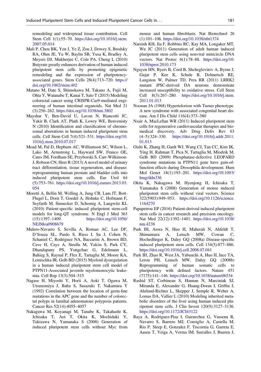remodeling and widespread tissue contribution. Cell Stem Cell 1(1):55–70. [https://doi.org/10.1016/j.stem.](https://doi.org/10.1016/j.stem.2007.05.014) [2007.05.014](https://doi.org/10.1016/j.stem.2007.05.014)

- Mali P, Chou BK, Yen J, Ye Z, Zou J, Dowey S, Brodsky RA, Ohm JE, Yu W, Baylin SB, Yusa K, Bradley A, Meyers DJ, Mukherjee C, Cole PA, Cheng L (2010) Butyrate greatly enhances derivation of human induced pluripotent stem cells by promoting epigenetic remodeling and the expression of pluripotencyassociated genes. Stem Cells 28(4):713–720. [https://](https://doi.org/10.1002/stem.402) [doi.org/10.1002/stem.402](https://doi.org/10.1002/stem.402)
- Matano M, Date S, Shimokawa M, Takano A, Fujii M, Ohta Y, Watanabe T, Kanai T, Sato T (2015) Modeling colorectal cancer using CRISPR-Cas9-mediated engineering of human intestinal organoids. Nat Med 21 (3):256–262. <https://doi.org/10.1038/nm.3802>
- Mayshar Y, Ben-David U, Lavon N, Biancotti JC, Yakir B, Clark AT, Plath K, Lowry WE, Benvenisty N (2010) Identification and classification of chromosomal aberrations in human induced pluripotent stem cells. Cell Stem Cell 7(4):521–531. [https://doi.org/10.](https://doi.org/10.1016/j.stem.2010.07.017) [1016/j.stem.2010.07.017](https://doi.org/10.1016/j.stem.2010.07.017)
- Moad M, Pal D, Hepburn AC, Williamson SC, Wilson L, Lako M, Armstrong L, Hayward SW, Franco OE, Cates JM, Fordham SE, Przyborski S, Carr-Wilkinson-J, Robson CN, Heer R (2013) A novel model of urinary tract differentiation, tissue regeneration, and disease: reprogramming human prostate and bladder cells into induced pluripotent stem cells. Eur Urol 64 (5):753–761. [https://doi.org/10.1016/j.eururo.2013.03.](https://doi.org/10.1016/j.eururo.2013.03.054) [054](https://doi.org/10.1016/j.eururo.2013.03.054)
- Moretti A, Bellin M, Welling A, Jung CB, Lam JT, Bott-Flugel L, Dorn T, Goedel A, Hohnke C, Hofmann F, Seyfarth M, Sinnecker D, Schomig A, Laugwitz KL (2010) Patient-specific induced pluripotent stem-cell models for long-QT syndrome. N Engl J Med 363 (15):1397–1409. [https://doi.org/10.1056/](https://doi.org/10.1056/NEJMoa0908679) [NEJMoa0908679](https://doi.org/10.1056/NEJMoa0908679)
- Mulero-Navarro S, Sevilla A, Roman AC, Lee DF, D'Souza SL, Pardo S, Riess I, Su J, Cohen N, Schaniel C, Rodriguez NA, Baccarini A, Brown BD, Cave H, Caye A, Strullu M, Yalcin S, Park CY, Dhandapany PS, Yongchao G, Edelmann L, Bahieg S, Raynal P, Flex E, Tartaglia M, Moore KA, Lemischka IR, Gelb BD (2015) Myeloid dysregulation in a human induced pluripotent stem cell model of PTPN11-Associated juvenile myelomonocytic leukemia. Cell Rep 13(3):504–515
- Nagase H, Miyoshi Y, Horii A, Aoki T, Ogawa M, Utsunomiya J, Baba S, Sasazuki T, Nakamura Y (1992) Correlation between the location of germ-line mutations in the APC gene and the number of colorectal polyps in familial adenomatous polyposis patients. Cancer Res 52(14):4055–4057
- Nakagawa M, Koyanagi M, Tanabe K, Takahashi K, Ichisaka T, Aoi T, Okita K, Mochiduki Y, Takizawa N, Yamanaka S (2008) Generation of induced pluripotent stem cells without Myc from

mouse and human fibroblasts. Nat Biotechnol 26 (1):101–106. <https://doi.org/10.1038/nbt1374>

- Narsinh KH, Jia F, Robbins RC, Kay MA, Longaker MT, Wu JC (2011) Generation of adult human induced pluripotent stem cells using nonviral minicircle DNA vectors. Nat Protoc  $6(1)$ :78–88. [https://doi.org/10.](https://doi.org/10.1038/nprot.2010.173) [1038/nprot.2010.173](https://doi.org/10.1038/nprot.2010.173)
- Nguyen HN, Byers B, Cord B, Shcheglovitov A, Byrne J, Gujar P, Kee K, Schule B, Dolmetsch RE, Langston W, Palmer TD, Pera RR (2011) LRRK2 mutant iPSC-derived DA neurons demonstrate increased susceptibility to oxidative stress. Cell Stem Cell 8(3):267–280. [https://doi.org/10.1016/j.stem.](https://doi.org/10.1016/j.stem.2011.01.013) [2011.01.013](https://doi.org/10.1016/j.stem.2011.01.013)
- Noonan JA (1968) Hypertelorism with Turner phenotype. A new syndrome with associated congenital heart disease. Am J Dis Child 116(4):373–380
- Nsair A, MacLellan WR (2011) Induced pluripotent stem cells for regenerative cardiovascular therapies and biomedical discovery. Adv Drug Deliv Rev 63 (4–5):324–330. [https://doi.org/10.1016/j.addr.2011.](https://doi.org/10.1016/j.addr.2011.01.013) [01.013](https://doi.org/10.1016/j.addr.2011.01.013)
- Oishi K, Zhang H, Gault WJ, Wang CJ, Tan CC, Kim IK, Ying H, Rahman T, Pica N, Tartaglia M, Mlodzik M, Gelb BD (2009) Phosphatase-defective LEOPARD syndrome mutations in PTPN11 gene have gain-offunction effects during Drosophila development. Hum Mol Genet 18(1):193–201. [https://doi.org/10.1093/](https://doi.org/10.1093/hmg/ddn336) [hmg/ddn336](https://doi.org/10.1093/hmg/ddn336)
- Okita K, Nakagawa M, Hyenjong H, Ichisaka T, Yamanaka S (2008) Generation of mouse induced pluripotent stem cells without viral vectors. Science 322(5903):949–953. [https://doi.org/10.1126/science.](https://doi.org/10.1126/science.1164270) [1164270](https://doi.org/10.1126/science.1164270)
- Papapetrou EP (2016) Patient-derived induced pluripotent stem cells in cancer research and precision oncology. Nat Med 22(12):1392–1401. [https://doi.org/10.1038/](https://doi.org/10.1038/nm.4238) [nm.4238](https://doi.org/10.1038/nm.4238)
- Park IH, Arora N, Huo H, Maherali N, Ahfeldt T, Shimamura A, Lensch MW, Cowan C, Hochedlinger K, Daley GQ (2008a) Disease-specific induced pluripotent stem cells. Cell 134(5):877–886. <https://doi.org/10.1016/j.cell.2008.07.041>
- Park IH, Zhao R, West JA, Yabuuchi A, Huo H, Ince TA, Lerou PH, Lensch MW, Daley GQ (2008b) Reprogramming of human somatic cells to pluripotency with defined factors. Nature 451 (7175):141–146. <https://doi.org/10.1038/nature06534>
- Rashid ST, Corbineau S, Hannan N, Marciniak SJ, Miranda E, Alexander G, Huang-Doran I, Griffin J, Ahrlund-Richter L, Skepper J, Semple R, Weber A, Lomas DA, Vallier L (2010) Modeling inherited metabolic disorders of the liver using human induced pluripotent stem cells. J Clin Invest 120(9):3127–3136. <https://doi.org/10.1172/JCI43122>
- Raya A, Rodriguez-Piza I, Guenechea G, Vassena R, Navarro S, Barrero MJ, Consiglio A, Castella M, Rio P, Sleep E, Gonzalez F, Tiscornia G, Garreta E, Aasen T, Veiga A, Verma IM, Surralles J, Bueren J,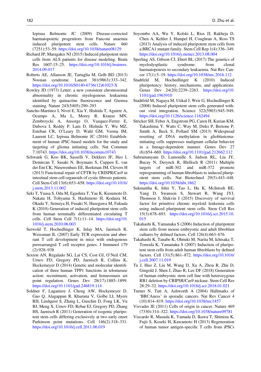Izpisua Belmonte JC (2009) Disease-corrected haematopoietic progenitors from Fanconi anaemia induced pluripotent stem cells. Nature 460 (7251):53–59. <https://doi.org/10.1038/nature08129>

- Richard JP, Maragakis NJ (2015) Induced pluripotent stem cells from ALS patients for disease modeling. Brain Res 1607:15–25. [https://doi.org/10.1016/j.brainres.](https://doi.org/10.1016/j.brainres.2014.09.017) [2014.09.017](https://doi.org/10.1016/j.brainres.2014.09.017)
- Roberts AE, Allanson JE, Tartaglia M, Gelb BD (2013) Noonan syndrome. Lancet 381(9863):333–342. [https://doi.org/10.1016/S0140-6736\(12\)61023-X](https://doi.org/10.1016/S0140-6736(12)61023-X)
- Rowley JD (1973) Letter: a new consistent chromosomal abnormality in chronic myelogenous leukaemia identified by quinacrine fluorescence and Giemsa staining. Nature 243(5405):290–293
- Sancho-Martinez I, Nivet E, Xia Y, Hishida T, Aguirre A, Ocampo A, Ma L, Morey R, Krause MN, Zembrzycki A, Ansorge O, Vazquez-Ferrer E, Dubova I, Reddy P, Lam D, Hishida Y, Wu MZ, Esteban CR, O'Leary D, Wahl GM, Verma IM, Laurent LC, Izpisua Belmonte JC (2016) Establishment of human iPSC-based models for the study and targeting of glioma initiating cells. Nat Commun 7:10743. <https://doi.org/10.1038/ncomms10743>
- Schwank G, Koo BK, Sasselli V, Dekkers JF, Heo I, Demircan T, Sasaki N, Boymans S, Cuppen E, van der Ent CK, Nieuwenhuis EE, Beekman JM, Clevers H (2013) Functional repair of CFTR by CRISPR/Cas9 in intestinal stem cell organoids of cystic fibrosis patients. Cell Stem Cell 13(6):653–658. [https://doi.org/10.1016/](https://doi.org/10.1016/j.stem.2013.11.002) [j.stem.2013.11.002](https://doi.org/10.1016/j.stem.2013.11.002)
- Seki T, Yuasa S, Oda M, Egashira T, Yae K, Kusumoto D, Nakata H, Tohyama S, Hashimoto H, Kodaira M, Okada Y, Seimiya H, Fusaki N, Hasegawa M, Fukuda K (2010) Generation of induced pluripotent stem cells from human terminally differentiated circulating T cells. Cell Stem Cell 7(1):11–14. [https://doi.org/10.](https://doi.org/10.1016/j.stem.2010.06.003) [1016/j.stem.2010.06.003](https://doi.org/10.1016/j.stem.2010.06.003)
- Serwold T, Hochedlinger K, Inlay MA, Jaenisch R, Weissman IL (2007) Early TCR expression and aberrant T cell development in mice with endogenous prerearranged T cell receptor genes. J Immunol 179 (2):928–938
- Sexton AN, Regalado SG, Lai CS, Cost GJ, O'Neil CM, Urnov FD, Gregory PD, Jaenisch R, Collins K, Hockemeyer D (2014) Genetic and molecular identification of three human TPP1 functions in telomerase action: recruitment, activation, and homeostasis set point regulation. Genes Dev 28(17):1885–1899. <https://doi.org/10.1101/gad.246819.114>
- Soldner F, Laganiere J, Cheng AW, Hockemeyer D, Gao Q, Alagappan R, Khurana V, Golbe LI, Myers RH, Lindquist S, Zhang L, Guschin D, Fong LK, Vu BJ, Meng X, Urnov FD, Rebar EJ, Gregory PD, Zhang HS, Jaenisch R (2011) Generation of isogenic pluripotent stem cells differing exclusively at two early onset Parkinson point mutations. Cell 146(2):318–331. <https://doi.org/10.1016/j.cell.2011.06.019>
- Soyombo AA, Wu Y, Kolski L, Rios JJ, Rakheja D, Chen A, Kehler J, Hampel H, Coughran A, Ross TS (2013) Analysis of induced pluripotent stem cells from a BRCA1 mutant family. Stem Cell Rep 1(4):336–349. <https://doi.org/10.1016/j.stemcr.2013.08.004>
- Sperling AS, Gibson CJ, Ebert BL (2017) The genetics of myelodysplastic syndrome: from clonal haematopoiesis to secondary leukaemia. Nat Rev Cancer 17(1):5–19. <https://doi.org/10.1038/nrc.2016.112>
- Stadtfeld M, Hochedlinger K (2010) Induced pluripotency: history, mechanisms, and applications. Genes Dev 24(20):2239-2263. [https://doi.org/10.](https://doi.org/10.1101/gad.1963910) [1101/gad.1963910](https://doi.org/10.1101/gad.1963910)
- Stadtfeld M, Nagaya M, Utikal J, Weir G, Hochedlinger K (2008) Induced pluripotent stem cells generated without viral integration. Science 322(5903):945–949. <https://doi.org/10.1126/science.1162494>
- Stricker SH, Feber A, Engstrom PG, Caren H, Kurian KM, Takashima Y, Watts C, Way M, Dirks P, Bertone P, Smith A, Beck S, Pollard SM (2013) Widespread resetting of DNA methylation in glioblastomainitiating cells suppresses malignant cellular behavior in a lineage-dependent manner. Genes Dev 27 (6):654–669. <https://doi.org/10.1101/gad.212662.112>
- Subramanyam D, Lamouille S, Judson RL, Liu JY, Bucay N, Derynck R, Blelloch R (2011) Multiple targets of miR-302 and miR-372 promote reprogramming of human fibroblasts to induced pluripotent stem cells. Nat Biotechnol 29(5):443–448. <https://doi.org/10.1038/nbt.1862>
- Suknuntha K, Ishii Y, Tao L, Hu K, McIntosh BE, Yang D, Swanson S, Stewart R, Wang JYJ, Thomson J, Slukvin I (2015) Discovery of survival factor for primitive chronic myeloid leukemia cells using induced pluripotent stem cells. Stem Cell Res 15(3):678–693. [https://doi.org/10.1016/j.scr.2015.10.](https://doi.org/10.1016/j.scr.2015.10.015) [015](https://doi.org/10.1016/j.scr.2015.10.015)
- Takahashi K, Yamanaka S (2006) Induction of pluripotent stem cells from mouse embryonic and adult fibroblast cultures by defined factors. Cell 126(4):663–676
- Takahashi K, Tanabe K, Ohnuki M, Narita M, Ichisaka T, Tomoda K, Yamanaka S (2007) Induction of pluripotent stem cells from adult human fibroblasts by defined factors. Cell 131(5):861–872. [https://doi.org/10.1016/](https://doi.org/10.1016/j.cell.2007.11.019) [j.cell.2007.11.019](https://doi.org/10.1016/j.cell.2007.11.019)
- Tu J, Huo Z, Liu M, Wang D, Xu A, Zhou R, Zhu D, Gingold J, Shen J, Zhao R, Lee DF (2018) Generation of human embryonic stem cell line with heterozygous RB1 deletion by CRIPSR/Cas9 nickase. Stem Cell Res 28:29–32. <https://doi.org/10.1016/j.scr.2018.01.021>
- Turner N, Tutt A, Ashworth A (2004) Hallmarks of 'BRCAness' in sporadic cancers. Nat Rev Cancer 4 (10):814–819. <https://doi.org/10.1038/nrc1457>
- Visvader JE (2011) Cells of origin in cancer. Nature 469 (7330):314–322. <https://doi.org/10.1038/nature09781>
- Vizcardo R, Masuda K, Yamada D, Ikawa T, Shimizu K, Fujii S, Koseki H, Kawamoto H (2013) Regeneration of human tumor antigen-specific T cells from iPSCs